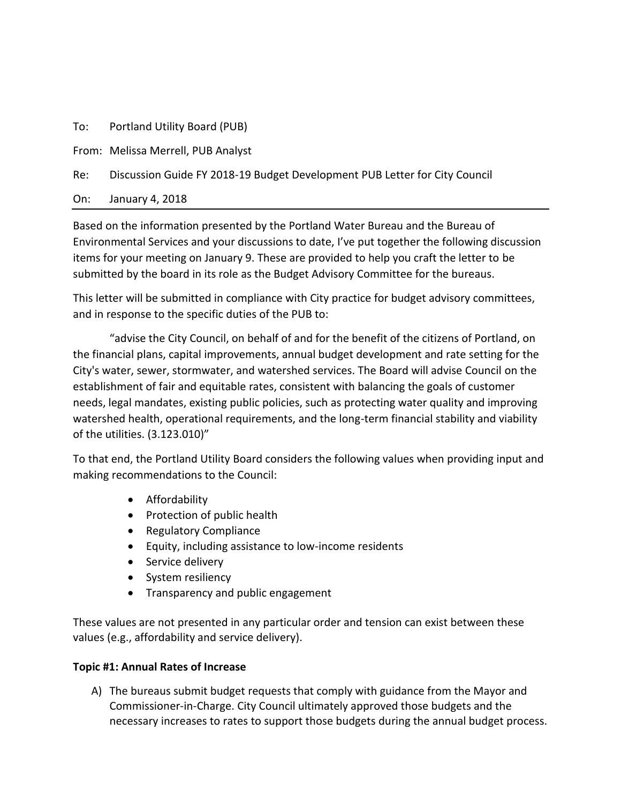To: Portland Utility Board (PUB)

From: Melissa Merrell, PUB Analyst

Re: Discussion Guide FY 2018-19 Budget Development PUB Letter for City Council

On: January 4, 2018

Based on the information presented by the Portland Water Bureau and the Bureau of Environmental Services and your discussions to date, I've put together the following discussion items for your meeting on January 9. These are provided to help you craft the letter to be submitted by the board in its role as the Budget Advisory Committee for the bureaus.

This letter will be submitted in compliance with City practice for budget advisory committees, and in response to the specific duties of the PUB to:

"advise the City Council, on behalf of and for the benefit of the citizens of Portland, on the financial plans, capital improvements, annual budget development and rate setting for the City's water, sewer, stormwater, and watershed services. The Board will advise Council on the establishment of fair and equitable rates, consistent with balancing the goals of customer needs, legal mandates, existing public policies, such as protecting water quality and improving watershed health, operational requirements, and the long-term financial stability and viability of the utilities. (3.123.010)"

To that end, the Portland Utility Board considers the following values when providing input and making recommendations to the Council:

- Affordability
- Protection of public health
- Regulatory Compliance
- Equity, including assistance to low-income residents
- Service delivery
- System resiliency
- Transparency and public engagement

These values are not presented in any particular order and tension can exist between these values (e.g., affordability and service delivery).

# **Topic #1: Annual Rates of Increase**

A) The bureaus submit budget requests that comply with guidance from the Mayor and Commissioner-in-Charge. City Council ultimately approved those budgets and the necessary increases to rates to support those budgets during the annual budget process.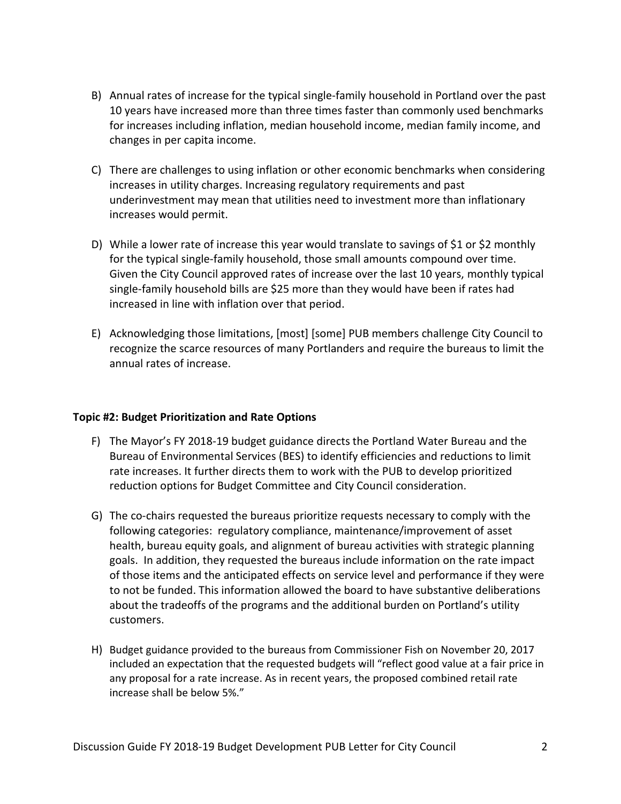- B) Annual rates of increase for the typical single-family household in Portland over the past 10 years have increased more than three times faster than commonly used benchmarks for increases including inflation, median household income, median family income, and changes in per capita income.
- C) There are challenges to using inflation or other economic benchmarks when considering increases in utility charges. Increasing regulatory requirements and past underinvestment may mean that utilities need to investment more than inflationary increases would permit.
- D) While a lower rate of increase this year would translate to savings of \$1 or \$2 monthly for the typical single-family household, those small amounts compound over time. Given the City Council approved rates of increase over the last 10 years, monthly typical single-family household bills are \$25 more than they would have been if rates had increased in line with inflation over that period.
- E) Acknowledging those limitations, [most] [some] PUB members challenge City Council to recognize the scarce resources of many Portlanders and require the bureaus to limit the annual rates of increase.

### **Topic #2: Budget Prioritization and Rate Options**

- F) The Mayor's FY 2018-19 budget guidance directs the Portland Water Bureau and the Bureau of Environmental Services (BES) to identify efficiencies and reductions to limit rate increases. It further directs them to work with the PUB to develop prioritized reduction options for Budget Committee and City Council consideration.
- G) The co-chairs requested the bureaus prioritize requests necessary to comply with the following categories: regulatory compliance, maintenance/improvement of asset health, bureau equity goals, and alignment of bureau activities with strategic planning goals. In addition, they requested the bureaus include information on the rate impact of those items and the anticipated effects on service level and performance if they were to not be funded. This information allowed the board to have substantive deliberations about the tradeoffs of the programs and the additional burden on Portland's utility customers.
- H) Budget guidance provided to the bureaus from Commissioner Fish on November 20, 2017 included an expectation that the requested budgets will "reflect good value at a fair price in any proposal for a rate increase. As in recent years, the proposed combined retail rate increase shall be below 5%."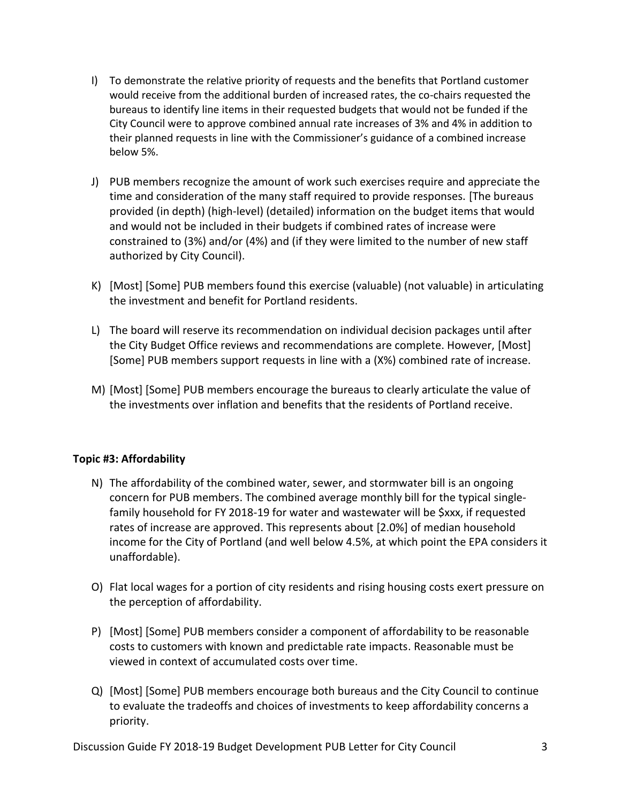- I) To demonstrate the relative priority of requests and the benefits that Portland customer would receive from the additional burden of increased rates, the co-chairs requested the bureaus to identify line items in their requested budgets that would not be funded if the City Council were to approve combined annual rate increases of 3% and 4% in addition to their planned requests in line with the Commissioner's guidance of a combined increase below 5%.
- J) PUB members recognize the amount of work such exercises require and appreciate the time and consideration of the many staff required to provide responses. [The bureaus provided (in depth) (high-level) (detailed) information on the budget items that would and would not be included in their budgets if combined rates of increase were constrained to (3%) and/or (4%) and (if they were limited to the number of new staff authorized by City Council).
- K) [Most] [Some] PUB members found this exercise (valuable) (not valuable) in articulating the investment and benefit for Portland residents.
- L) The board will reserve its recommendation on individual decision packages until after the City Budget Office reviews and recommendations are complete. However, [Most] [Some] PUB members support requests in line with a (X%) combined rate of increase.
- M) [Most] [Some] PUB members encourage the bureaus to clearly articulate the value of the investments over inflation and benefits that the residents of Portland receive.

# **Topic #3: Affordability**

- N) The affordability of the combined water, sewer, and stormwater bill is an ongoing concern for PUB members. The combined average monthly bill for the typical singlefamily household for FY 2018-19 for water and wastewater will be \$xxx, if requested rates of increase are approved. This represents about [2.0%] of median household income for the City of Portland (and well below 4.5%, at which point the EPA considers it unaffordable).
- O) Flat local wages for a portion of city residents and rising housing costs exert pressure on the perception of affordability.
- P) [Most] [Some] PUB members consider a component of affordability to be reasonable costs to customers with known and predictable rate impacts. Reasonable must be viewed in context of accumulated costs over time.
- Q) [Most] [Some] PUB members encourage both bureaus and the City Council to continue to evaluate the tradeoffs and choices of investments to keep affordability concerns a priority.

Discussion Guide FY 2018-19 Budget Development PUB Letter for City Council 3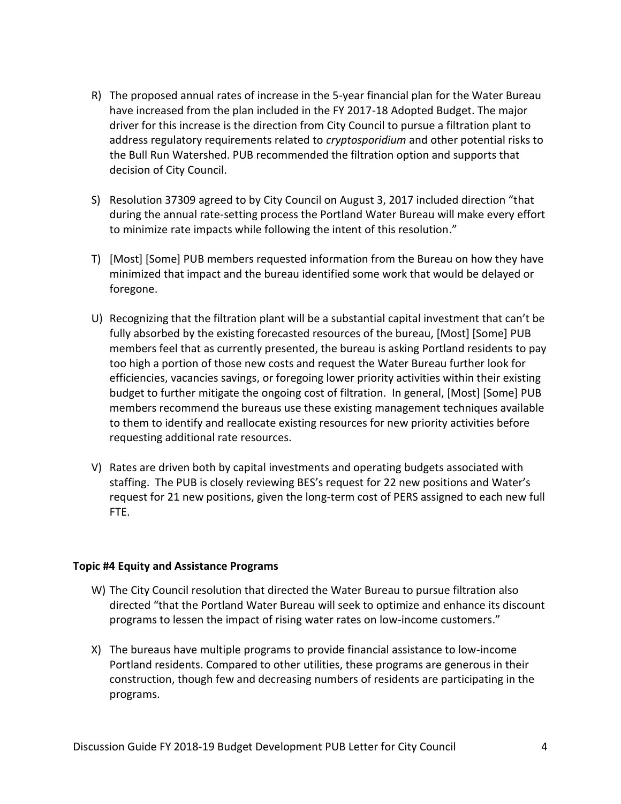- R) The proposed annual rates of increase in the 5-year financial plan for the Water Bureau have increased from the plan included in the FY 2017-18 Adopted Budget. The major driver for this increase is the direction from City Council to pursue a filtration plant to address regulatory requirements related to *cryptosporidium* and other potential risks to the Bull Run Watershed. PUB recommended the filtration option and supports that decision of City Council.
- S) Resolution 37309 agreed to by City Council on August 3, 2017 included direction "that during the annual rate-setting process the Portland Water Bureau will make every effort to minimize rate impacts while following the intent of this resolution."
- T) [Most] [Some] PUB members requested information from the Bureau on how they have minimized that impact and the bureau identified some work that would be delayed or foregone.
- U) Recognizing that the filtration plant will be a substantial capital investment that can't be fully absorbed by the existing forecasted resources of the bureau, [Most] [Some] PUB members feel that as currently presented, the bureau is asking Portland residents to pay too high a portion of those new costs and request the Water Bureau further look for efficiencies, vacancies savings, or foregoing lower priority activities within their existing budget to further mitigate the ongoing cost of filtration. In general, [Most] [Some] PUB members recommend the bureaus use these existing management techniques available to them to identify and reallocate existing resources for new priority activities before requesting additional rate resources.
- V) Rates are driven both by capital investments and operating budgets associated with staffing. The PUB is closely reviewing BES's request for 22 new positions and Water's request for 21 new positions, given the long-term cost of PERS assigned to each new full FTE.

### **Topic #4 Equity and Assistance Programs**

- W) The City Council resolution that directed the Water Bureau to pursue filtration also directed "that the Portland Water Bureau will seek to optimize and enhance its discount programs to lessen the impact of rising water rates on low-income customers."
- X) The bureaus have multiple programs to provide financial assistance to low-income Portland residents. Compared to other utilities, these programs are generous in their construction, though few and decreasing numbers of residents are participating in the programs.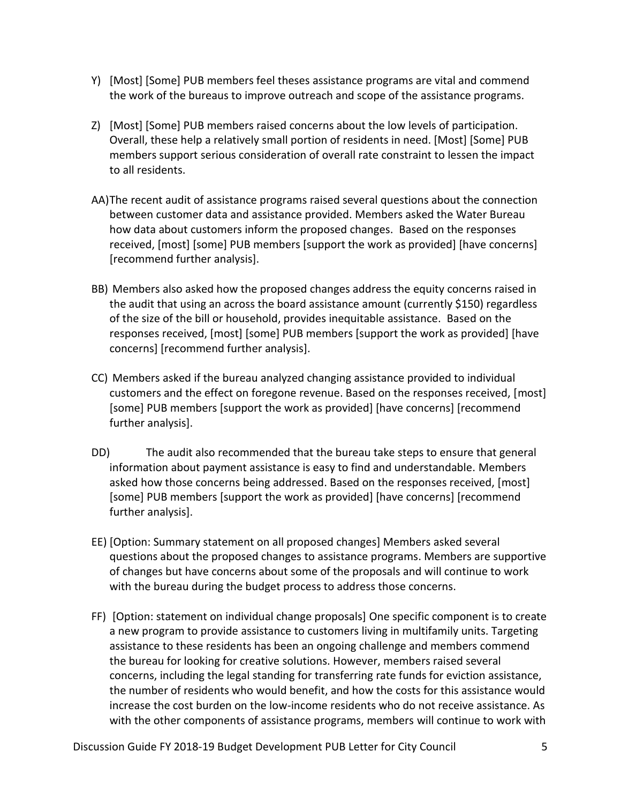- Y) [Most] [Some] PUB members feel theses assistance programs are vital and commend the work of the bureaus to improve outreach and scope of the assistance programs.
- Z) [Most] [Some] PUB members raised concerns about the low levels of participation. Overall, these help a relatively small portion of residents in need. [Most] [Some] PUB members support serious consideration of overall rate constraint to lessen the impact to all residents.
- AA)The recent audit of assistance programs raised several questions about the connection between customer data and assistance provided. Members asked the Water Bureau how data about customers inform the proposed changes. Based on the responses received, [most] [some] PUB members [support the work as provided] [have concerns] [recommend further analysis].
- BB) Members also asked how the proposed changes address the equity concerns raised in the audit that using an across the board assistance amount (currently \$150) regardless of the size of the bill or household, provides inequitable assistance. Based on the responses received, [most] [some] PUB members [support the work as provided] [have concerns] [recommend further analysis].
- CC) Members asked if the bureau analyzed changing assistance provided to individual customers and the effect on foregone revenue. Based on the responses received, [most] [some] PUB members [support the work as provided] [have concerns] [recommend further analysis].
- DD) The audit also recommended that the bureau take steps to ensure that general information about payment assistance is easy to find and understandable. Members asked how those concerns being addressed. Based on the responses received, [most] [some] PUB members [support the work as provided] [have concerns] [recommend further analysis].
- EE) [Option: Summary statement on all proposed changes] Members asked several questions about the proposed changes to assistance programs. Members are supportive of changes but have concerns about some of the proposals and will continue to work with the bureau during the budget process to address those concerns.
- FF) [Option: statement on individual change proposals] One specific component is to create a new program to provide assistance to customers living in multifamily units. Targeting assistance to these residents has been an ongoing challenge and members commend the bureau for looking for creative solutions. However, members raised several concerns, including the legal standing for transferring rate funds for eviction assistance, the number of residents who would benefit, and how the costs for this assistance would increase the cost burden on the low-income residents who do not receive assistance. As with the other components of assistance programs, members will continue to work with

Discussion Guide FY 2018-19 Budget Development PUB Letter for City Council 5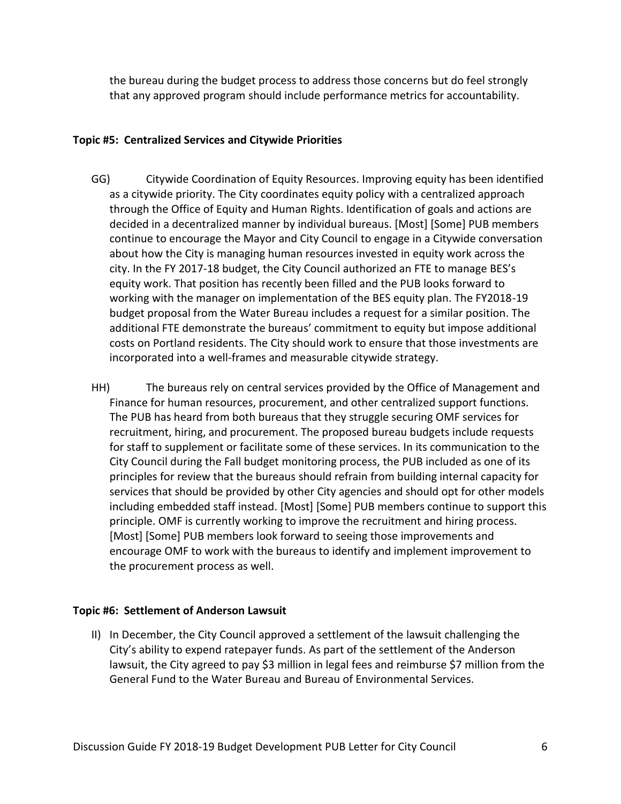the bureau during the budget process to address those concerns but do feel strongly that any approved program should include performance metrics for accountability.

### **Topic #5: Centralized Services and Citywide Priorities**

- GG) Citywide Coordination of Equity Resources. Improving equity has been identified as a citywide priority. The City coordinates equity policy with a centralized approach through the Office of Equity and Human Rights. Identification of goals and actions are decided in a decentralized manner by individual bureaus. [Most] [Some] PUB members continue to encourage the Mayor and City Council to engage in a Citywide conversation about how the City is managing human resources invested in equity work across the city. In the FY 2017-18 budget, the City Council authorized an FTE to manage BES's equity work. That position has recently been filled and the PUB looks forward to working with the manager on implementation of the BES equity plan. The FY2018-19 budget proposal from the Water Bureau includes a request for a similar position. The additional FTE demonstrate the bureaus' commitment to equity but impose additional costs on Portland residents. The City should work to ensure that those investments are incorporated into a well-frames and measurable citywide strategy.
- HH) The bureaus rely on central services provided by the Office of Management and Finance for human resources, procurement, and other centralized support functions. The PUB has heard from both bureaus that they struggle securing OMF services for recruitment, hiring, and procurement. The proposed bureau budgets include requests for staff to supplement or facilitate some of these services. In its communication to the City Council during the Fall budget monitoring process, the PUB included as one of its principles for review that the bureaus should refrain from building internal capacity for services that should be provided by other City agencies and should opt for other models including embedded staff instead. [Most] [Some] PUB members continue to support this principle. OMF is currently working to improve the recruitment and hiring process. [Most] [Some] PUB members look forward to seeing those improvements and encourage OMF to work with the bureaus to identify and implement improvement to the procurement process as well.

### **Topic #6: Settlement of Anderson Lawsuit**

II) In December, the City Council approved a settlement of the lawsuit challenging the City's ability to expend ratepayer funds. As part of the settlement of the Anderson lawsuit, the City agreed to pay \$3 million in legal fees and reimburse \$7 million from the General Fund to the Water Bureau and Bureau of Environmental Services.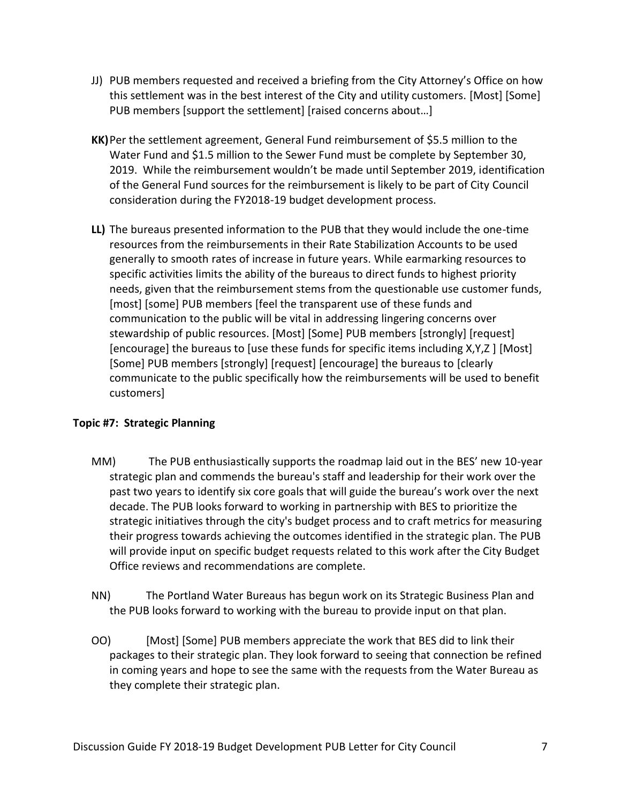- JJ) PUB members requested and received a briefing from the City Attorney's Office on how this settlement was in the best interest of the City and utility customers. [Most] [Some] PUB members [support the settlement] [raised concerns about…]
- **KK)**Per the settlement agreement, General Fund reimbursement of \$5.5 million to the Water Fund and \$1.5 million to the Sewer Fund must be complete by September 30, 2019. While the reimbursement wouldn't be made until September 2019, identification of the General Fund sources for the reimbursement is likely to be part of City Council consideration during the FY2018-19 budget development process.
- **LL)** The bureaus presented information to the PUB that they would include the one-time resources from the reimbursements in their Rate Stabilization Accounts to be used generally to smooth rates of increase in future years. While earmarking resources to specific activities limits the ability of the bureaus to direct funds to highest priority needs, given that the reimbursement stems from the questionable use customer funds, [most] [some] PUB members [feel the transparent use of these funds and communication to the public will be vital in addressing lingering concerns over stewardship of public resources. [Most] [Some] PUB members [strongly] [request] [encourage] the bureaus to [use these funds for specific items including X,Y,Z ] [Most] [Some] PUB members [strongly] [request] [encourage] the bureaus to [clearly communicate to the public specifically how the reimbursements will be used to benefit customers]

# **Topic #7: Strategic Planning**

- MM) The PUB enthusiastically supports the roadmap laid out in the BES' new 10-year strategic plan and commends the bureau's staff and leadership for their work over the past two years to identify six core goals that will guide the bureau's work over the next decade. The PUB looks forward to working in partnership with BES to prioritize the strategic initiatives through the city's budget process and to craft metrics for measuring their progress towards achieving the outcomes identified in the strategic plan. The PUB will provide input on specific budget requests related to this work after the City Budget Office reviews and recommendations are complete.
- NN) The Portland Water Bureaus has begun work on its Strategic Business Plan and the PUB looks forward to working with the bureau to provide input on that plan.
- OO) [Most] [Some] PUB members appreciate the work that BES did to link their packages to their strategic plan. They look forward to seeing that connection be refined in coming years and hope to see the same with the requests from the Water Bureau as they complete their strategic plan.